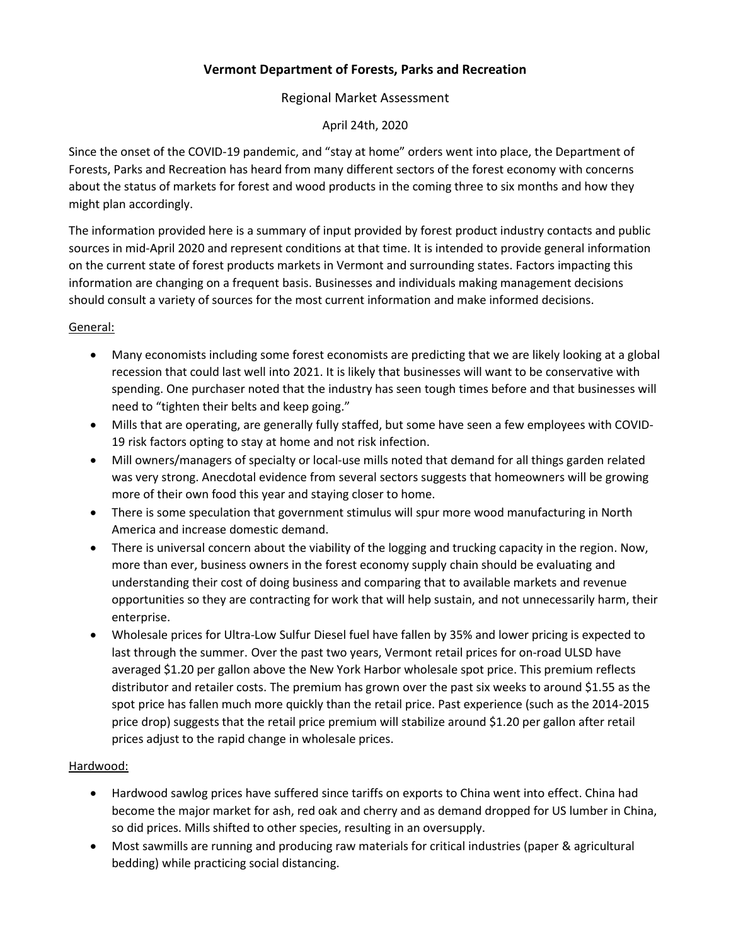# **Vermont Department of Forests, Parks and Recreation**

# Regional Market Assessment

## April 24th, 2020

Since the onset of the COVID-19 pandemic, and "stay at home" orders went into place, the Department of Forests, Parks and Recreation has heard from many different sectors of the forest economy with concerns about the status of markets for forest and wood products in the coming three to six months and how they might plan accordingly.

The information provided here is a summary of input provided by forest product industry contacts and public sources in mid-April 2020 and represent conditions at that time. It is intended to provide general information on the current state of forest products markets in Vermont and surrounding states. Factors impacting this information are changing on a frequent basis. Businesses and individuals making management decisions should consult a variety of sources for the most current information and make informed decisions.

# General:

- Many economists including some forest economists are predicting that we are likely looking at a global recession that could last well into 2021. It is likely that businesses will want to be conservative with spending. One purchaser noted that the industry has seen tough times before and that businesses will need to "tighten their belts and keep going."
- Mills that are operating, are generally fully staffed, but some have seen a few employees with COVID-19 risk factors opting to stay at home and not risk infection.
- Mill owners/managers of specialty or local-use mills noted that demand for all things garden related was very strong. Anecdotal evidence from several sectors suggests that homeowners will be growing more of their own food this year and staying closer to home.
- There is some speculation that government stimulus will spur more wood manufacturing in North America and increase domestic demand.
- There is universal concern about the viability of the logging and trucking capacity in the region. Now, more than ever, business owners in the forest economy supply chain should be evaluating and understanding their cost of doing business and comparing that to available markets and revenue opportunities so they are contracting for work that will help sustain, and not unnecessarily harm, their enterprise.
- Wholesale prices for Ultra-Low Sulfur Diesel fuel have fallen by 35% and lower pricing is expected to last through the summer. Over the past two years, Vermont retail prices for on-road ULSD have averaged \$1.20 per gallon above the New York Harbor wholesale spot price. This premium reflects distributor and retailer costs. The premium has grown over the past six weeks to around \$1.55 as the spot price has fallen much more quickly than the retail price. Past experience (such as the 2014-2015 price drop) suggests that the retail price premium will stabilize around \$1.20 per gallon after retail prices adjust to the rapid change in wholesale prices.

#### Hardwood:

- Hardwood sawlog prices have suffered since tariffs on exports to China went into effect. China had become the major market for ash, red oak and cherry and as demand dropped for US lumber in China, so did prices. Mills shifted to other species, resulting in an oversupply.
- Most sawmills are running and producing raw materials for critical industries (paper & agricultural bedding) while practicing social distancing.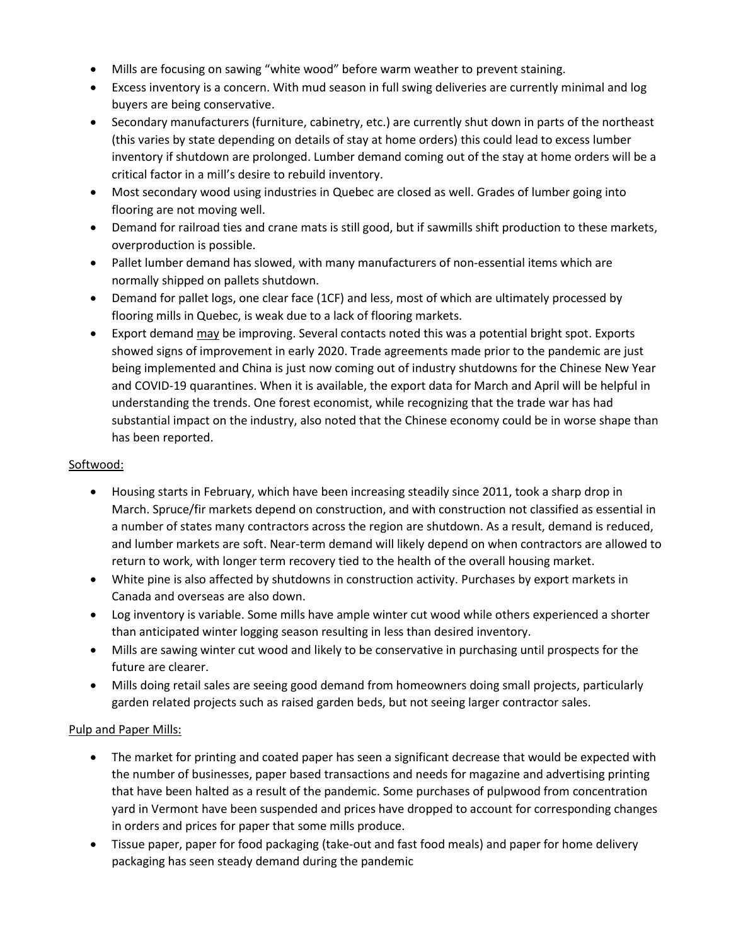- Mills are focusing on sawing "white wood" before warm weather to prevent staining.
- Excess inventory is a concern. With mud season in full swing deliveries are currently minimal and log buyers are being conservative.
- Secondary manufacturers (furniture, cabinetry, etc.) are currently shut down in parts of the northeast (this varies by state depending on details of stay at home orders) this could lead to excess lumber inventory if shutdown are prolonged. Lumber demand coming out of the stay at home orders will be a critical factor in a mill's desire to rebuild inventory.
- Most secondary wood using industries in Quebec are closed as well. Grades of lumber going into flooring are not moving well.
- Demand for railroad ties and crane mats is still good, but if sawmills shift production to these markets, overproduction is possible.
- Pallet lumber demand has slowed, with many manufacturers of non-essential items which are normally shipped on pallets shutdown.
- Demand for pallet logs, one clear face (1CF) and less, most of which are ultimately processed by flooring mills in Quebec, is weak due to a lack of flooring markets.
- Export demand may be improving. Several contacts noted this was a potential bright spot. Exports showed signs of improvement in early 2020. Trade agreements made prior to the pandemic are just being implemented and China is just now coming out of industry shutdowns for the Chinese New Year and COVID-19 quarantines. When it is available, the export data for March and April will be helpful in understanding the trends. One forest economist, while recognizing that the trade war has had substantial impact on the industry, also noted that the Chinese economy could be in worse shape than has been reported.

### Softwood:

- Housing starts in February, which have been increasing steadily since 2011, took a sharp drop in March. Spruce/fir markets depend on construction, and with construction not classified as essential in a number of states many contractors across the region are shutdown. As a result, demand is reduced, and lumber markets are soft. Near-term demand will likely depend on when contractors are allowed to return to work, with longer term recovery tied to the health of the overall housing market.
- White pine is also affected by shutdowns in construction activity. Purchases by export markets in Canada and overseas are also down.
- Log inventory is variable. Some mills have ample winter cut wood while others experienced a shorter than anticipated winter logging season resulting in less than desired inventory.
- Mills are sawing winter cut wood and likely to be conservative in purchasing until prospects for the future are clearer.
- Mills doing retail sales are seeing good demand from homeowners doing small projects, particularly garden related projects such as raised garden beds, but not seeing larger contractor sales.

#### Pulp and Paper Mills:

- The market for printing and coated paper has seen a significant decrease that would be expected with the number of businesses, paper based transactions and needs for magazine and advertising printing that have been halted as a result of the pandemic. Some purchases of pulpwood from concentration yard in Vermont have been suspended and prices have dropped to account for corresponding changes in orders and prices for paper that some mills produce.
- Tissue paper, paper for food packaging (take-out and fast food meals) and paper for home delivery packaging has seen steady demand during the pandemic